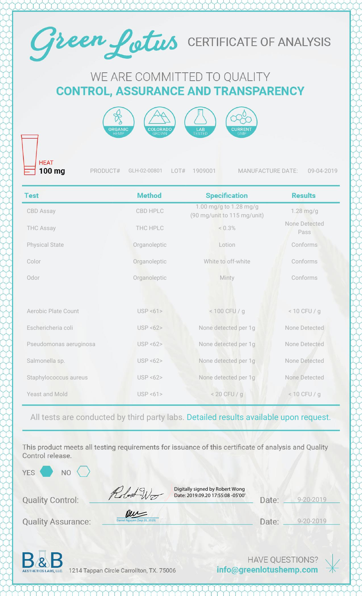

# WE ARE COMMITTED TO QUALITY **CONTROL, ASSURANCE AND TRANSPARENCY**



**HEAT** 100 mg

PRODUCT# GLH-02-00801 LOT# 1909001 MANUFACTURE DATE: 09-04-2019

| <b>Test</b>                | <b>Method</b>         | <b>Specification</b>                                  | <b>Results</b>        |
|----------------------------|-----------------------|-------------------------------------------------------|-----------------------|
| <b>CBD Assay</b>           | CBD HPLC              | 1.00 mg/g to 1.28 mg/g<br>(90 mg/unit to 115 mg/unit) | $1.28$ mg/g           |
| <b>THC Assay</b>           | THC HPLC              | < 0.3%                                                | None Detected<br>Pass |
| <b>Physical State</b>      | Organoleptic          | Lotion                                                | Conforms              |
| Color                      | Organoleptic          | White to off-white                                    | Conforms              |
| Odor                       | Organoleptic          | Minty                                                 | Conforms              |
|                            |                       |                                                       |                       |
| <b>Aerobic Plate Count</b> | USP < 61              | < 100 CFU / g                                         | $< 10$ CFU / g        |
| Eschericheria coli         | USP < 62              | None detected per 1g                                  | None Detected         |
| Pseudomonas aeruginosa     | USP < 62              | None detected per 1g                                  | None Detected         |
| Salmonella sp.             | <b>USP &lt;62&gt;</b> | None detected per 1g                                  | None Detected         |
| Staphylococcus aureus      | USP < 62              | None detected per 1g                                  | None Detected         |
| Yeast and Mold             | USP < 61              | $< 20$ CFU / g                                        | $< 10$ CFU / q        |

### All tests are conducted by third party labs. Detailed results available upon request.

This product meets all testing requirements for issuance of this certificate of analysis and Quality Control release.

YES<sup></sup>

NO

Robert Wo

Digitally signed by Robert Wong Date: 2019.09.20 17:55:08 -05'00'

| Date: | $9 - 20 - 2019$ |
|-------|-----------------|
|       |                 |

**Quality Assurance:** 

**Quality Control:** 

| New                          |
|------------------------------|
| Daniel Nguyen (Sep 20, 2019) |

Date: 9-20-2019



1214 Tappan Circle Carrollton, TX. 75006

**HAVE QUESTIONS?** info@greenlotushemp.com